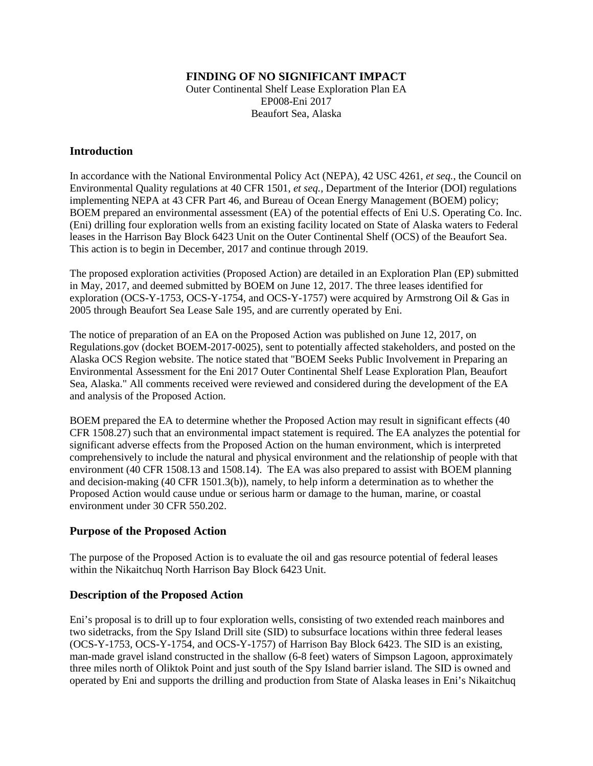# **FINDING OF NO SIGNIFICANT IMPACT**

Outer Continental Shelf Lease Exploration Plan EA EP008-Eni 2017 Beaufort Sea, Alaska

## **Introduction**

In accordance with the National Environmental Policy Act (NEPA), 42 USC 4261, *et seq.*, the Council on Environmental Quality regulations at 40 CFR 1501, *et seq.*, Department of the Interior (DOI) regulations implementing NEPA at 43 CFR Part 46, and Bureau of Ocean Energy Management (BOEM) policy; BOEM prepared an environmental assessment (EA) of the potential effects of Eni U.S. Operating Co. Inc. (Eni) drilling four exploration wells from an existing facility located on State of Alaska waters to Federal leases in the Harrison Bay Block 6423 Unit on the Outer Continental Shelf (OCS) of the Beaufort Sea. This action is to begin in December, 2017 and continue through 2019.

The proposed exploration activities (Proposed Action) are detailed in an Exploration Plan (EP) submitted in May, 2017, and deemed submitted by BOEM on June 12, 2017. The three leases identified for exploration (OCS-Y-1753, OCS-Y-1754, and OCS-Y-1757) were acquired by Armstrong Oil & Gas in 2005 through Beaufort Sea Lease Sale 195, and are currently operated by Eni.

The notice of preparation of an EA on the Proposed Action was published on June 12, 2017, on Regulations.gov (docket BOEM-2017-0025), sent to potentially affected stakeholders, and posted on the Alaska OCS Region website. The notice stated that "BOEM Seeks Public Involvement in Preparing an Environmental Assessment for the Eni 2017 Outer Continental Shelf Lease Exploration Plan, Beaufort Sea, Alaska." All comments received were reviewed and considered during the development of the EA and analysis of the Proposed Action.

BOEM prepared the EA to determine whether the Proposed Action may result in significant effects (40 CFR 1508.27) such that an environmental impact statement is required. The EA analyzes the potential for significant adverse effects from the Proposed Action on the human environment, which is interpreted comprehensively to include the natural and physical environment and the relationship of people with that environment (40 CFR 1508.13 and 1508.14). The EA was also prepared to assist with BOEM planning and decision-making (40 CFR 1501.3(b)), namely, to help inform a determination as to whether the Proposed Action would cause undue or serious harm or damage to the human, marine, or coastal environment under 30 CFR 550.202.

# **Purpose of the Proposed Action**

The purpose of the Proposed Action is to evaluate the oil and gas resource potential of federal leases within the Nikaitchuq North Harrison Bay Block 6423 Unit.

# **Description of the Proposed Action**

Eni's proposal is to drill up to four exploration wells, consisting of two extended reach mainbores and two sidetracks, from the Spy Island Drill site (SID) to subsurface locations within three federal leases (OCS-Y-1753, OCS-Y-1754, and OCS-Y-1757) of Harrison Bay Block 6423. The SID is an existing, man-made gravel island constructed in the shallow (6-8 feet) waters of Simpson Lagoon, approximately three miles north of Oliktok Point and just south of the Spy Island barrier island. The SID is owned and operated by Eni and supports the drilling and production from State of Alaska leases in Eni's Nikaitchuq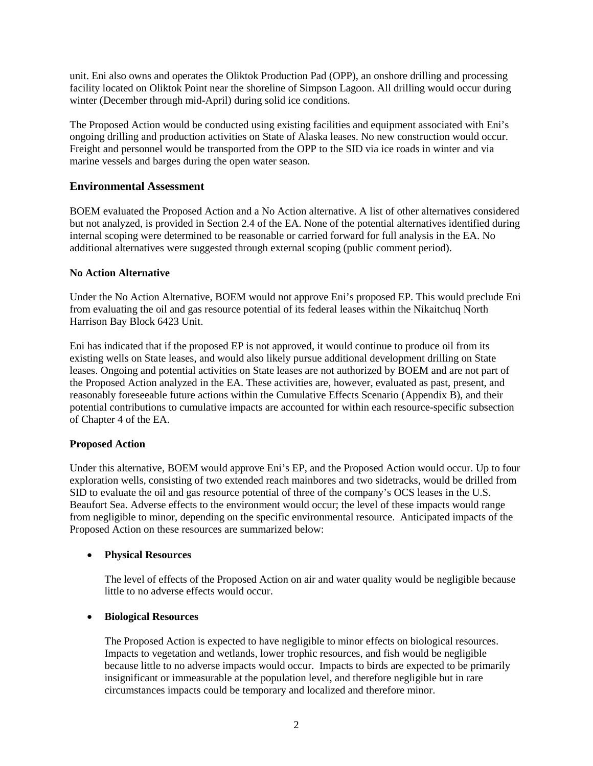unit. Eni also owns and operates the Oliktok Production Pad (OPP), an onshore drilling and processing facility located on Oliktok Point near the shoreline of Simpson Lagoon. All drilling would occur during winter (December through mid-April) during solid ice conditions.

The Proposed Action would be conducted using existing facilities and equipment associated with Eni's ongoing drilling and production activities on State of Alaska leases. No new construction would occur. Freight and personnel would be transported from the OPP to the SID via ice roads in winter and via marine vessels and barges during the open water season.

# **Environmental Assessment**

BOEM evaluated the Proposed Action and a No Action alternative. A list of other alternatives considered but not analyzed, is provided in Section 2.4 of the EA. None of the potential alternatives identified during internal scoping were determined to be reasonable or carried forward for full analysis in the EA. No additional alternatives were suggested through external scoping (public comment period).

## **No Action Alternative**

Under the No Action Alternative, BOEM would not approve Eni's proposed EP. This would preclude Eni from evaluating the oil and gas resource potential of its federal leases within the Nikaitchuq North Harrison Bay Block 6423 Unit.

Eni has indicated that if the proposed EP is not approved, it would continue to produce oil from its existing wells on State leases, and would also likely pursue additional development drilling on State leases. Ongoing and potential activities on State leases are not authorized by BOEM and are not part of the Proposed Action analyzed in the EA. These activities are, however, evaluated as past, present, and reasonably foreseeable future actions within the Cumulative Effects Scenario (Appendix B), and their potential contributions to cumulative impacts are accounted for within each resource-specific subsection of Chapter 4 of the EA.

# **Proposed Action**

Under this alternative, BOEM would approve Eni's EP, and the Proposed Action would occur. Up to four exploration wells, consisting of two extended reach mainbores and two sidetracks, would be drilled from SID to evaluate the oil and gas resource potential of three of the company's OCS leases in the U.S. Beaufort Sea. Adverse effects to the environment would occur; the level of these impacts would range from negligible to minor, depending on the specific environmental resource. Anticipated impacts of the Proposed Action on these resources are summarized below:

#### • **Physical Resources**

The level of effects of the Proposed Action on air and water quality would be negligible because little to no adverse effects would occur.

#### • **Biological Resources**

The Proposed Action is expected to have negligible to minor effects on biological resources. Impacts to vegetation and wetlands, lower trophic resources, and fish would be negligible because little to no adverse impacts would occur. Impacts to birds are expected to be primarily insignificant or immeasurable at the population level, and therefore negligible but in rare circumstances impacts could be temporary and localized and therefore minor.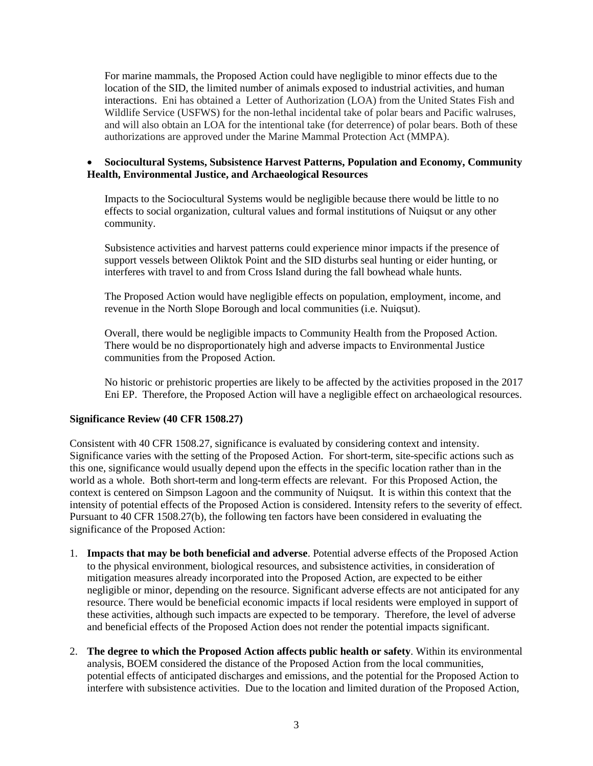For marine mammals, the Proposed Action could have negligible to minor effects due to the location of the SID, the limited number of animals exposed to industrial activities, and human interactions. Eni has obtained a Letter of Authorization (LOA) from the United States Fish and Wildlife Service (USFWS) for the non-lethal incidental take of polar bears and Pacific walruses, and will also obtain an LOA for the intentional take (for deterrence) of polar bears. Both of these authorizations are approved under the Marine Mammal Protection Act (MMPA).

## • **Sociocultural Systems, Subsistence Harvest Patterns, Population and Economy, Community Health, Environmental Justice, and Archaeological Resources**

Impacts to the Sociocultural Systems would be negligible because there would be little to no effects to social organization, cultural values and formal institutions of Nuiqsut or any other community.

Subsistence activities and harvest patterns could experience minor impacts if the presence of support vessels between Oliktok Point and the SID disturbs seal hunting or eider hunting, or interferes with travel to and from Cross Island during the fall bowhead whale hunts.

The Proposed Action would have negligible effects on population, employment, income, and revenue in the North Slope Borough and local communities (i.e. Nuiqsut).

Overall, there would be negligible impacts to Community Health from the Proposed Action. There would be no disproportionately high and adverse impacts to Environmental Justice communities from the Proposed Action.

No historic or prehistoric properties are likely to be affected by the activities proposed in the 2017 Eni EP. Therefore, the Proposed Action will have a negligible effect on archaeological resources.

#### **Significance Review (40 CFR 1508.27)**

Consistent with 40 CFR 1508.27, significance is evaluated by considering context and intensity. Significance varies with the setting of the Proposed Action. For short-term, site-specific actions such as this one, significance would usually depend upon the effects in the specific location rather than in the world as a whole. Both short-term and long-term effects are relevant. For this Proposed Action, the context is centered on Simpson Lagoon and the community of Nuiqsut. It is within this context that the intensity of potential effects of the Proposed Action is considered. Intensity refers to the severity of effect. Pursuant to 40 CFR 1508.27(b), the following ten factors have been considered in evaluating the significance of the Proposed Action:

- 1. **Impacts that may be both beneficial and adverse**. Potential adverse effects of the Proposed Action to the physical environment, biological resources, and subsistence activities, in consideration of mitigation measures already incorporated into the Proposed Action, are expected to be either negligible or minor, depending on the resource. Significant adverse effects are not anticipated for any resource. There would be beneficial economic impacts if local residents were employed in support of these activities, although such impacts are expected to be temporary. Therefore, the level of adverse and beneficial effects of the Proposed Action does not render the potential impacts significant.
- 2. **The degree to which the Proposed Action affects public health or safety**. Within its environmental analysis, BOEM considered the distance of the Proposed Action from the local communities, potential effects of anticipated discharges and emissions, and the potential for the Proposed Action to interfere with subsistence activities. Due to the location and limited duration of the Proposed Action,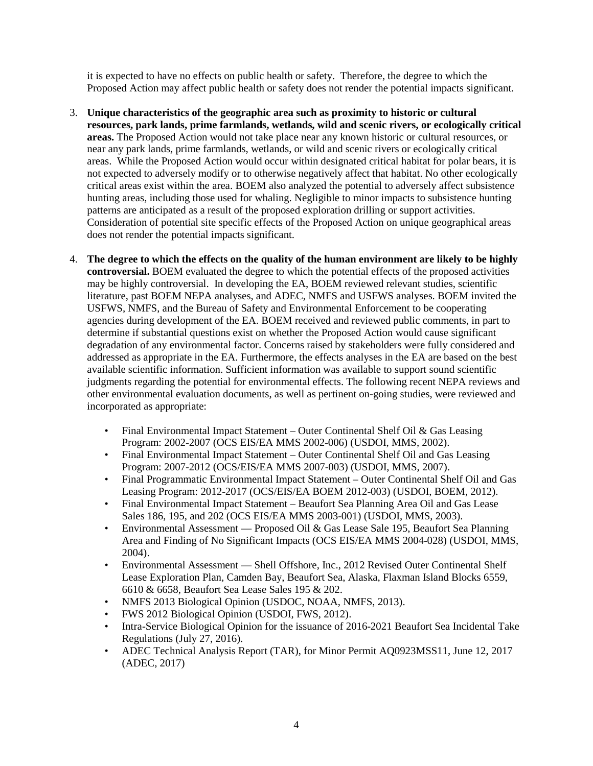it is expected to have no effects on public health or safety. Therefore, the degree to which the Proposed Action may affect public health or safety does not render the potential impacts significant.

- 3. **Unique characteristics of the geographic area such as proximity to historic or cultural resources, park lands, prime farmlands, wetlands, wild and scenic rivers, or ecologically critical areas.** The Proposed Action would not take place near any known historic or cultural resources, or near any park lands, prime farmlands, wetlands, or wild and scenic rivers or ecologically critical areas. While the Proposed Action would occur within designated critical habitat for polar bears, it is not expected to adversely modify or to otherwise negatively affect that habitat. No other ecologically critical areas exist within the area. BOEM also analyzed the potential to adversely affect subsistence hunting areas, including those used for whaling. Negligible to minor impacts to subsistence hunting patterns are anticipated as a result of the proposed exploration drilling or support activities. Consideration of potential site specific effects of the Proposed Action on unique geographical areas does not render the potential impacts significant.
- 4. **The degree to which the effects on the quality of the human environment are likely to be highly controversial.** BOEM evaluated the degree to which the potential effects of the proposed activities may be highly controversial. In developing the EA, BOEM reviewed relevant studies, scientific literature, past BOEM NEPA analyses, and ADEC, NMFS and USFWS analyses. BOEM invited the USFWS, NMFS, and the Bureau of Safety and Environmental Enforcement to be cooperating agencies during development of the EA. BOEM received and reviewed public comments, in part to determine if substantial questions exist on whether the Proposed Action would cause significant degradation of any environmental factor. Concerns raised by stakeholders were fully considered and addressed as appropriate in the EA. Furthermore, the effects analyses in the EA are based on the best available scientific information. Sufficient information was available to support sound scientific judgments regarding the potential for environmental effects. The following recent NEPA reviews and other environmental evaluation documents, as well as pertinent on-going studies, were reviewed and incorporated as appropriate:
	- Final Environmental Impact Statement Outer Continental Shelf Oil & Gas Leasing Program: 2002-2007 (OCS EIS/EA MMS 2002-006) (USDOI, MMS, 2002).
	- Final Environmental Impact Statement Outer Continental Shelf Oil and Gas Leasing Program: 2007-2012 (OCS/EIS/EA MMS 2007-003) (USDOI, MMS, 2007).
	- Final Programmatic Environmental Impact Statement Outer Continental Shelf Oil and Gas Leasing Program: 2012-2017 (OCS/EIS/EA BOEM 2012-003) (USDOI, BOEM, 2012).
	- Final Environmental Impact Statement Beaufort Sea Planning Area Oil and Gas Lease Sales 186, 195, and 202 (OCS EIS/EA MMS 2003-001) (USDOI, MMS, 2003).
	- Environmental Assessment Proposed Oil & Gas Lease Sale 195, Beaufort Sea Planning Area and Finding of No Significant Impacts (OCS EIS/EA MMS 2004-028) (USDOI, MMS, 2004).
	- Environmental Assessment Shell Offshore, Inc., 2012 Revised Outer Continental Shelf Lease Exploration Plan, Camden Bay, Beaufort Sea, Alaska, Flaxman Island Blocks 6559, 6610 & 6658, Beaufort Sea Lease Sales 195 & 202.
	- NMFS 2013 Biological Opinion (USDOC, NOAA, NMFS, 2013).
	- FWS 2012 Biological Opinion (USDOI, FWS, 2012).
	- Intra-Service Biological Opinion for the issuance of 2016-2021 Beaufort Sea Incidental Take Regulations (July 27, 2016).
	- ADEC Technical Analysis Report (TAR), for Minor Permit AQ0923MSS11, June 12, 2017 (ADEC, 2017)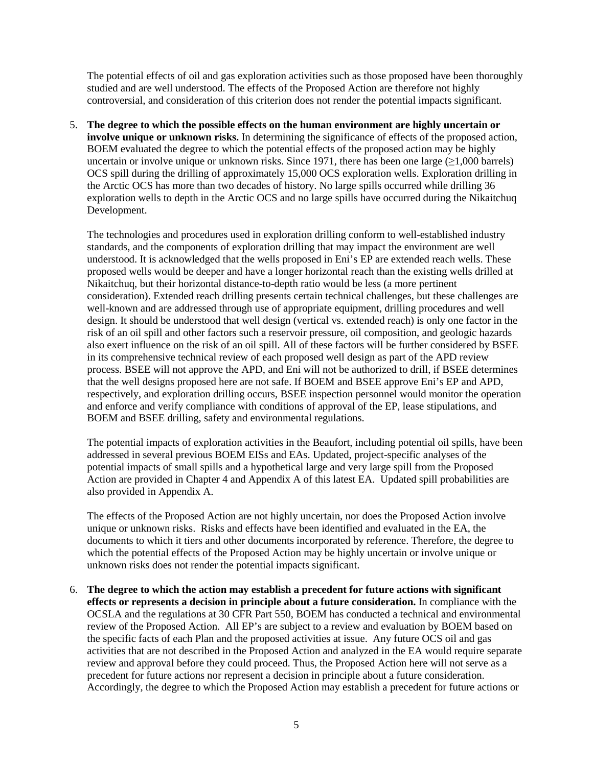The potential effects of oil and gas exploration activities such as those proposed have been thoroughly studied and are well understood. The effects of the Proposed Action are therefore not highly controversial, and consideration of this criterion does not render the potential impacts significant.

5. **The degree to which the possible effects on the human environment are highly uncertain or involve unique or unknown risks.** In determining the significance of effects of the proposed action, BOEM evaluated the degree to which the potential effects of the proposed action may be highly uncertain or involve unique or unknown risks. Since 1971, there has been one large  $(≥1,000$  barrels) OCS spill during the drilling of approximately 15,000 OCS exploration wells. Exploration drilling in the Arctic OCS has more than two decades of history. No large spills occurred while drilling 36 exploration wells to depth in the Arctic OCS and no large spills have occurred during the Nikaitchuq Development.

The technologies and procedures used in exploration drilling conform to well-established industry standards, and the components of exploration drilling that may impact the environment are well understood. It is acknowledged that the wells proposed in Eni's EP are extended reach wells. These proposed wells would be deeper and have a longer horizontal reach than the existing wells drilled at Nikaitchuq, but their horizontal distance-to-depth ratio would be less (a more pertinent consideration). Extended reach drilling presents certain technical challenges, but these challenges are well-known and are addressed through use of appropriate equipment, drilling procedures and well design. It should be understood that well design (vertical vs. extended reach) is only one factor in the risk of an oil spill and other factors such a reservoir pressure, oil composition, and geologic hazards also exert influence on the risk of an oil spill. All of these factors will be further considered by BSEE in its comprehensive technical review of each proposed well design as part of the APD review process. BSEE will not approve the APD, and Eni will not be authorized to drill, if BSEE determines that the well designs proposed here are not safe. If BOEM and BSEE approve Eni's EP and APD, respectively, and exploration drilling occurs, BSEE inspection personnel would monitor the operation and enforce and verify compliance with conditions of approval of the EP, lease stipulations, and BOEM and BSEE drilling, safety and environmental regulations.

The potential impacts of exploration activities in the Beaufort, including potential oil spills, have been addressed in several previous BOEM EISs and EAs. Updated, project-specific analyses of the potential impacts of small spills and a hypothetical large and very large spill from the Proposed Action are provided in Chapter 4 and Appendix A of this latest EA. Updated spill probabilities are also provided in Appendix A.

The effects of the Proposed Action are not highly uncertain, nor does the Proposed Action involve unique or unknown risks. Risks and effects have been identified and evaluated in the EA, the documents to which it tiers and other documents incorporated by reference. Therefore, the degree to which the potential effects of the Proposed Action may be highly uncertain or involve unique or unknown risks does not render the potential impacts significant.

6. **The degree to which the action may establish a precedent for future actions with significant effects or represents a decision in principle about a future consideration.** In compliance with the OCSLA and the regulations at 30 CFR Part 550, BOEM has conducted a technical and environmental review of the Proposed Action. All EP's are subject to a review and evaluation by BOEM based on the specific facts of each Plan and the proposed activities at issue. Any future OCS oil and gas activities that are not described in the Proposed Action and analyzed in the EA would require separate review and approval before they could proceed. Thus, the Proposed Action here will not serve as a precedent for future actions nor represent a decision in principle about a future consideration. Accordingly, the degree to which the Proposed Action may establish a precedent for future actions or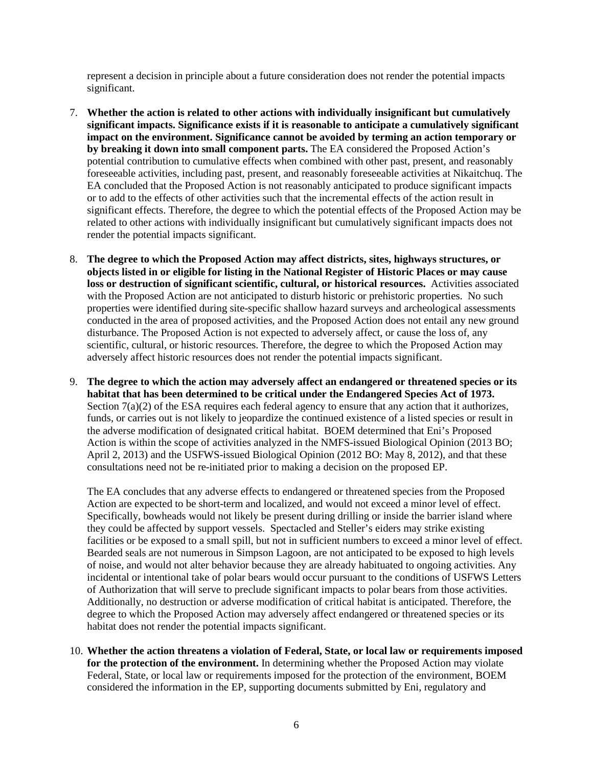represent a decision in principle about a future consideration does not render the potential impacts significant.

- 7. **Whether the action is related to other actions with individually insignificant but cumulatively significant impacts. Significance exists if it is reasonable to anticipate a cumulatively significant impact on the environment. Significance cannot be avoided by terming an action temporary or by breaking it down into small component parts.** The EA considered the Proposed Action's potential contribution to cumulative effects when combined with other past, present, and reasonably foreseeable activities, including past, present, and reasonably foreseeable activities at Nikaitchuq. The EA concluded that the Proposed Action is not reasonably anticipated to produce significant impacts or to add to the effects of other activities such that the incremental effects of the action result in significant effects. Therefore, the degree to which the potential effects of the Proposed Action may be related to other actions with individually insignificant but cumulatively significant impacts does not render the potential impacts significant.
- 8. **The degree to which the Proposed Action may affect districts, sites, highways structures, or objects listed in or eligible for listing in the National Register of Historic Places or may cause loss or destruction of significant scientific, cultural, or historical resources.** Activities associated with the Proposed Action are not anticipated to disturb historic or prehistoric properties. No such properties were identified during site-specific shallow hazard surveys and archeological assessments conducted in the area of proposed activities, and the Proposed Action does not entail any new ground disturbance. The Proposed Action is not expected to adversely affect, or cause the loss of, any scientific, cultural, or historic resources. Therefore, the degree to which the Proposed Action may adversely affect historic resources does not render the potential impacts significant.
- 9. **The degree to which the action may adversely affect an endangered or threatened species or its habitat that has been determined to be critical under the Endangered Species Act of 1973.** Section  $7(a)(2)$  of the ESA requires each federal agency to ensure that any action that it authorizes, funds, or carries out is not likely to jeopardize the continued existence of a listed species or result in the adverse modification of designated critical habitat. BOEM determined that Eni's Proposed Action is within the scope of activities analyzed in the NMFS-issued Biological Opinion (2013 BO; April 2, 2013) and the USFWS-issued Biological Opinion (2012 BO: May 8, 2012), and that these consultations need not be re-initiated prior to making a decision on the proposed EP.

The EA concludes that any adverse effects to endangered or threatened species from the Proposed Action are expected to be short-term and localized, and would not exceed a minor level of effect. Specifically, bowheads would not likely be present during drilling or inside the barrier island where they could be affected by support vessels. Spectacled and Steller's eiders may strike existing facilities or be exposed to a small spill, but not in sufficient numbers to exceed a minor level of effect. Bearded seals are not numerous in Simpson Lagoon, are not anticipated to be exposed to high levels of noise, and would not alter behavior because they are already habituated to ongoing activities. Any incidental or intentional take of polar bears would occur pursuant to the conditions of USFWS Letters of Authorization that will serve to preclude significant impacts to polar bears from those activities. Additionally, no destruction or adverse modification of critical habitat is anticipated. Therefore, the degree to which the Proposed Action may adversely affect endangered or threatened species or its habitat does not render the potential impacts significant.

10. **Whether the action threatens a violation of Federal, State, or local law or requirements imposed for the protection of the environment.** In determining whether the Proposed Action may violate Federal, State, or local law or requirements imposed for the protection of the environment, BOEM considered the information in the EP, supporting documents submitted by Eni, regulatory and